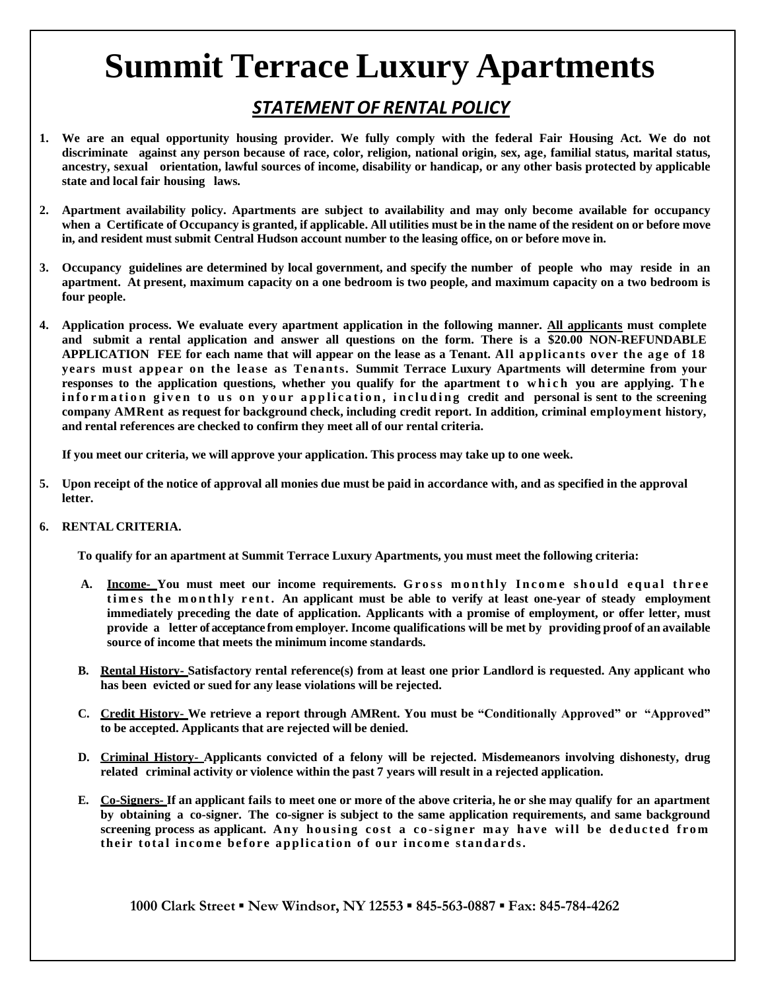# **Summit Terrace Luxury Apartments**

### *STATEMENT OF RENTAL POLICY*

- 1. We are an equal opportunity housing provider. We fully comply with the federal Fair Housing Act. We do not discriminate against any person because of race, color, religion, national origin, sex, age, familial status, marital status, **ancestry, sexual orientation, lawful sources of income, disability or handicap, or any other basis protected by applicable state and local fair housing laws.**
- 2. Apartment availability policy. Apartments are subject to availability and may only become available for occupancy when a Certificate of Occupancy is granted, if applicable. All utilities must be in the name of the resident on or before move **in, and resident must submit Central Hudson account number to the leasing office, on or before move in.**
- **3. Occupancy guidelines are determined by local government, and specify the number of people who may reside in an apartment. At present, maximum capacity on a one bedroom is two people, and maximum capacity on a two bedroom is four people.**
- 4. Application process. We evaluate every apartment application in the following manner. All applicants must complete **and submit a rental application and answer all questions on the form. There is a \$20.00 NON-REFUNDABLE APPLICATION FEE for each name that will appear on the lease as a Tenant. All applicants over the age of 18 years must appear on the lease as Tenants. Summit Terrace Luxury Apartments will determine from your responses to the application questions, whether you qualify for the apartment t o w h i c h you are applying. T h e**  information given to us on your application, including credit and personal is sent to the screening **company AMRent as request for background check, including credit report. In addition, criminal employment history, and rental references are checked to confirm they meet all of our rental criteria.**

**If you meet our criteria, we will approve your application. This process may take up to one week.**

- 5. Upon receipt of the notice of approval all monies due must be paid in accordance with, and as specified in the approval **letter.**
- **6. RENTAL CRITERIA.**

**To qualify for an apartment at Summit Terrace Luxury Apartments, you must meet the following criteria:**

- A. **Income** You must meet our income requirements. Gross monthly Income should equal three **t i m e s t h e m o n t h l y r e n t . An applicant must be able to verify at least one-year of steady employment immediately preceding the date of application. Applicants with a promise of employment, or offer letter, must provide a letter of acceptance from employer. Income qualifications will be met by providing proof of an available source of income that meets the minimum income standards.**
- B. Rental History-Satisfactory rental reference(s) from at least one prior Landlord is requested. Any applicant who **has been evicted or sued for any lease violations will be rejected.**
- **C. Credit History- We retrieve a report through AMRent. You must be "Conditionally Approved" or "Approved" to be accepted. Applicants that are rejected will be denied.**
- **D. Criminal History- Applicants convicted of a felony will be rejected. Misdemeanors involving dishonesty, drug related criminal activity or violence within the past 7 years will result in a rejected application.**
- E. Co-Signers- If an applicant fails to meet one or more of the above criteria, he or she may qualify for an apartment **by obtaining a co-signer. The co-signer is subject to the same application requirements, and same background**  screening process as applicant. Any housing cost a co-signer may have will be deducted from their total income before application of our income standards.

**1000 Clark Street ▪ New Windsor, NY 12553 ▪ 845-563-0887 ▪ Fax: 845-784-4262**